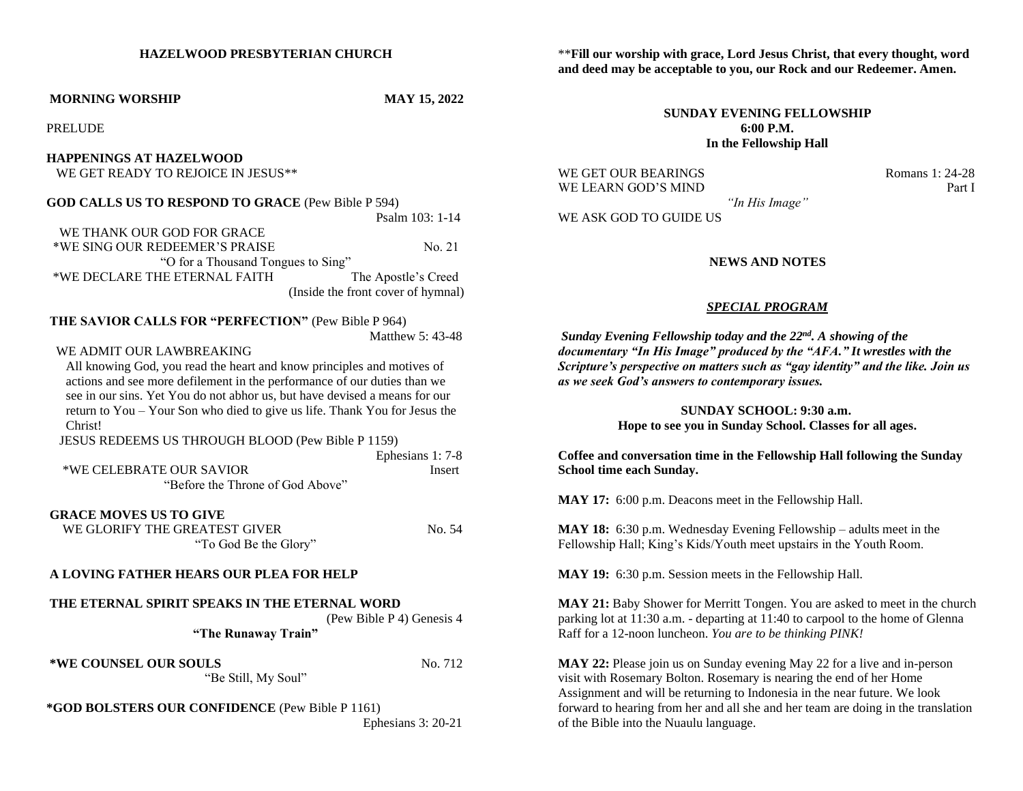#### **HAZELWOOD PRESBYTERIAN CHURCH**

#### **MORNING WORSHIP MAY 15, 2022**

PRELUDE

# **HAPPENINGS AT HAZELWOOD**

WE GET READY TO REJOICE IN JESUS\*\*

**GOD CALLS US TO RESPOND TO GRACE** (Pew Bible P 594)

Psalm 103: 1-14

 WE THANK OUR GOD FOR GRACE \*WE SING OUR REDEEMER'S PRAISE No. 21 "O for a Thousand Tongues to Sing" \*WE DECLARE THE ETERNAL FAITH The Apostle's Creed (Inside the front cover of hymnal)

# **THE SAVIOR CALLS FOR "PERFECTION"** (Pew Bible P 964)

Matthew 5: 43-48

# WE ADMIT OUR LAWBREAKING

 All knowing God, you read the heart and know principles and motives of actions and see more defilement in the performance of our duties than we see in our sins. Yet You do not abhor us, but have devised a means for our return to You – Your Son who died to give us life. Thank You for Jesus the Christ!

JESUS REDEEMS US THROUGH BLOOD (Pew Bible P 1159)

|                                  | Ephesians 1: 7-8              |
|----------------------------------|-------------------------------|
| *WE CELEBRATE OUR SAVIOR         | Insert                        |
| "Before the Throne of God Above" |                               |
| <b>GRACE MOVES US TO GIVE</b>    |                               |
| WE CLODIEV THE CDEATECT CIVED    | $N_{\alpha}$ $\epsilon$ $\mu$ |

**WE GLORIFY THE GREATEST GIVER** NO. 54 "To God Be the Glory"

# **A LOVING FATHER HEARS OUR PLEA FOR HELP**

# **THE ETERNAL SPIRIT SPEAKS IN THE ETERNAL WORD**

(Pew Bible P 4) Genesis 4

**"The Runaway Train"**

"Be Still, My Soul"

**\*WE COUNSEL OUR SOULS** No. 712

# **\*GOD BOLSTERS OUR CONFIDENCE** (Pew Bible P 1161)

Ephesians 3: 20-21

\*\***Fill our worship with grace, Lord Jesus Christ, that every thought, word and deed may be acceptable to you, our Rock and our Redeemer. Amen.**

### **SUNDAY EVENING FELLOWSHIP 6:00 P.M. In the Fellowship Hall**

WE GET OUR BEARINGS Romans 1: 24-28 WE LEARN GOD'S MIND Part I

*"In His Image"* WE ASK GOD TO GUIDE US

### **NEWS AND NOTES**

#### *SPECIAL PROGRAM*

*Sunday Evening Fellowship today and the 22nd . A showing of the documentary "In His Image" produced by the "AFA." It wrestles with the Scripture's perspective on matters such as "gay identity" and the like. Join us as we seek God's answers to contemporary issues.*

### **SUNDAY SCHOOL: 9:30 a.m. Hope to see you in Sunday School. Classes for all ages.**

**Coffee and conversation time in the Fellowship Hall following the Sunday School time each Sunday.**

**MAY 17:** 6:00 p.m. Deacons meet in the Fellowship Hall.

**MAY 18:** 6:30 p.m. Wednesday Evening Fellowship – adults meet in the Fellowship Hall; King's Kids/Youth meet upstairs in the Youth Room.

**MAY 19:** 6:30 p.m. Session meets in the Fellowship Hall.

**MAY 21:** Baby Shower for Merritt Tongen. You are asked to meet in the church parking lot at 11:30 a.m. - departing at 11:40 to carpool to the home of Glenna Raff for a 12-noon luncheon. *You are to be thinking PINK!*

**MAY 22:** Please join us on Sunday evening May 22 for a live and in-person visit with Rosemary Bolton. Rosemary is nearing the end of her Home Assignment and will be returning to Indonesia in the near future. We look forward to hearing from her and all she and her team are doing in the translation of the Bible into the Nuaulu language.